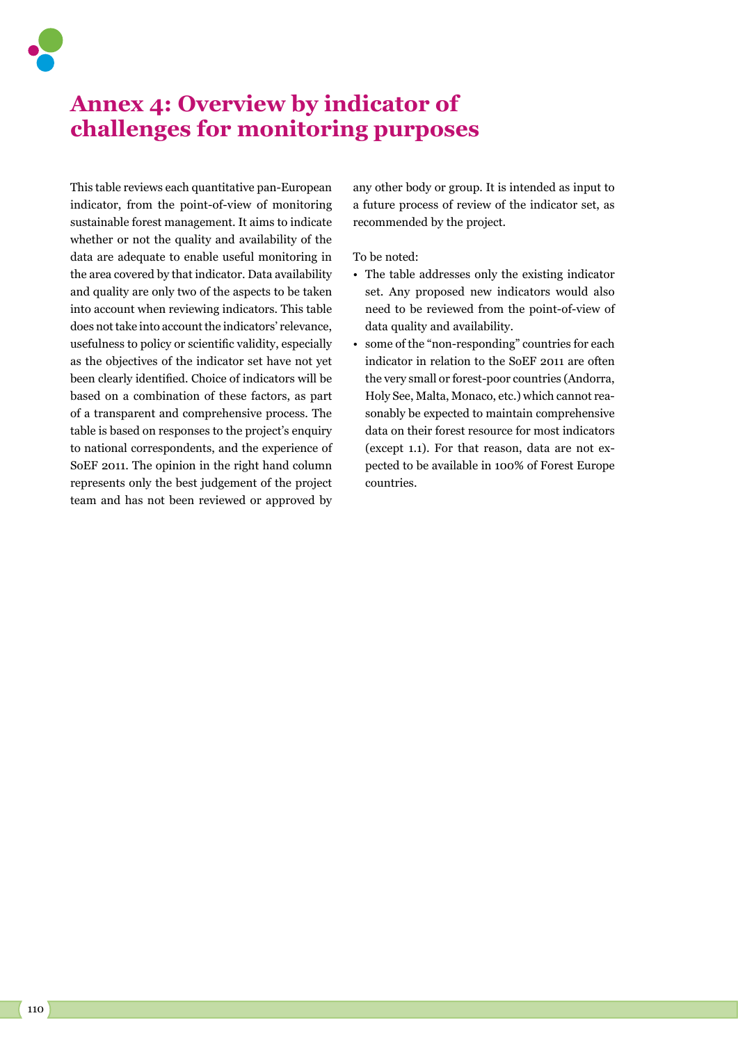

## **Annex 4: Overview by indicator of challenges for monitoring purposes**

This table reviews each quantitative pan-European indicator, from the point-of-view of monitoring sustainable forest management. It aims to indicate whether or not the quality and availability of the data are adequate to enable useful monitoring in the area covered by that indicator. Data availability and quality are only two of the aspects to be taken into account when reviewing indicators. This table does not take into account the indicators' relevance, usefulness to policy or scientific validity, especially as the objectives of the indicator set have not yet been clearly identified. Choice of indicators will be based on a combination of these factors, as part of a transparent and comprehensive process. The table is based on responses to the project's enquiry to national correspondents, and the experience of SoEF 2011. The opinion in the right hand column represents only the best judgement of the project team and has not been reviewed or approved by any other body or group. It is intended as input to a future process of review of the indicator set, as recommended by the project.

To be noted:

- The table addresses only the existing indicator set. Any proposed new indicators would also need to be reviewed from the point-of-view of data quality and availability.
- some of the "non-responding" countries for each indicator in relation to the SoEF 2011 are often the very small or forest-poor countries (Andorra, Holy See, Malta, Monaco, etc.) which cannot reasonably be expected to maintain comprehensive data on their forest resource for most indicators (except 1.1). For that reason, data are not expected to be available in 100% of Forest Europe countries.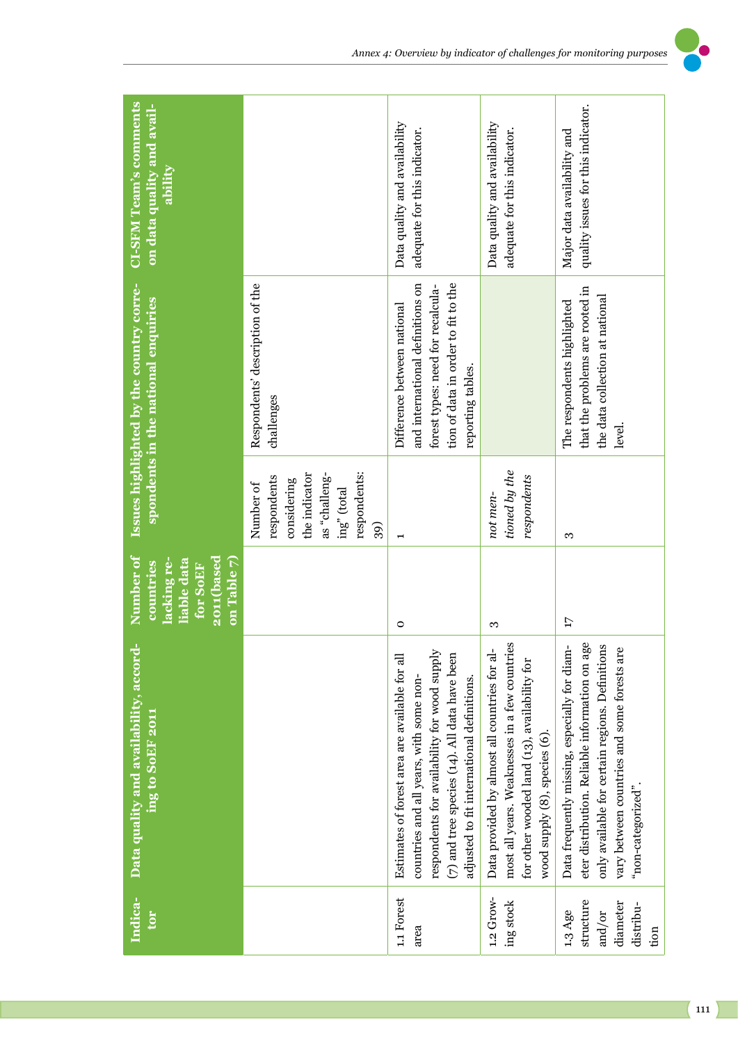| <b>CI-SFM Team's comments</b><br>on data quality and avail-<br>ability                        |                                                                                                                 | Data quality and availability<br>adequate for this indicator.                                                                                                                                                                            | Data quality and availability<br>adequate for this indicator.                                                                                                                   | quality issues for this indicator.<br>Major data availability and                                                                                                                                                       |
|-----------------------------------------------------------------------------------------------|-----------------------------------------------------------------------------------------------------------------|------------------------------------------------------------------------------------------------------------------------------------------------------------------------------------------------------------------------------------------|---------------------------------------------------------------------------------------------------------------------------------------------------------------------------------|-------------------------------------------------------------------------------------------------------------------------------------------------------------------------------------------------------------------------|
| <b>Issues highlighted by the country corre-</b><br>spondents in the national enquiries        | Respondents' description of the<br>challenges                                                                   | tion of data in order to fit to the<br>and international definitions on<br>forest types: need for recalcula-<br>Difference between national<br>reporting tables.                                                                         |                                                                                                                                                                                 | that the problems are rooted in<br>the data collection at national<br>The respondents highlighted<br>level.                                                                                                             |
|                                                                                               | respondents:<br>the indicator<br>as "challeng-<br>respondents<br>considering<br>Number of<br>ing" (total<br>39) |                                                                                                                                                                                                                                          | tioned by the<br>respondents<br>not men-                                                                                                                                        | S                                                                                                                                                                                                                       |
| Number of<br>2011(based<br>lacking re-<br>on Table 7)<br>liable data<br>countries<br>for SoEF |                                                                                                                 | $\circ$                                                                                                                                                                                                                                  | S                                                                                                                                                                               | $\overline{17}$                                                                                                                                                                                                         |
| Data quality and availability, accord-<br>ing to SoEF 2011                                    |                                                                                                                 | respondents for availability for wood supply<br>(7) and tree species (14). All data have been<br>Estimates of forest area are available for all<br>countries and all years, with some non-<br>adjusted to fit international definitions. | most all years. Weaknesses in a few countries<br>Data provided by almost all countries for al-<br>for other wooded land (13), availability for<br>wood supply (8), species (6). | eter distribution. Reliable information on age<br>only available for certain regions. Definitions<br>Data frequently missing, especially for diam-<br>vary between countries and some forests are<br>"non-categorized". |
| Indica-<br>tor                                                                                |                                                                                                                 | 1.1 Forest<br>area                                                                                                                                                                                                                       | $1.2$ Grow-<br>ing stock                                                                                                                                                        | structure<br>diameter<br>distribu-<br>1.3 Age<br>and/or<br>tion                                                                                                                                                         |

*Annex 4: Overview by indicator of challenges for monitoring purposes*

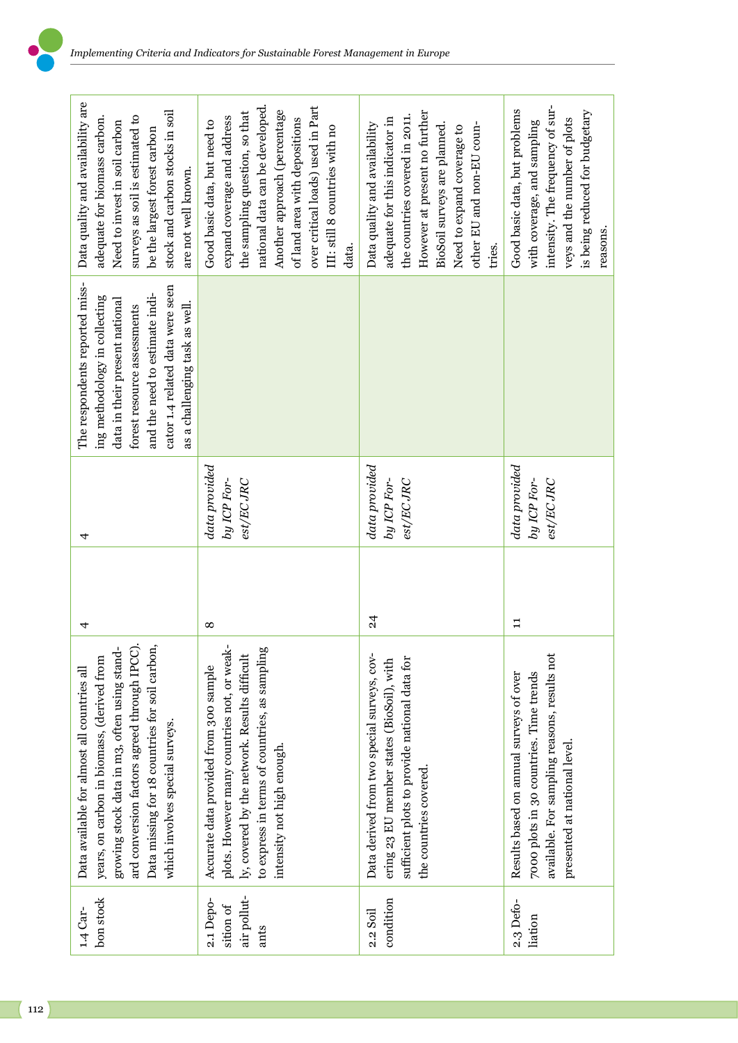| Data quality and availability are<br>stock and carbon stocks in soil<br>surveys as soil is estimated to<br>adequate for biomass carbon.<br>Need to invest in soil carbon<br>be the largest forest carbon<br>are not well known.<br>The respondents reported miss-<br>cator 1.4 related data were seen<br>and the need to estimate indi-<br>ing methodology in collecting<br>data in their present national<br>as a challenging task as well.<br>forest resource assessments | national data can be developed.<br>over critical loads) used in Part<br>Another approach (percentage<br>the sampling question, so that<br>expand coverage and address<br>of land area with depositions<br>Good basic data, but need to<br>III: still 8 countries with no<br>data. | However at present no further<br>the countries covered in 2011.<br>adequate for this indicator in<br>BioSoil surveys are planned.<br>other EU and non-EU coun-<br>Data quality and availability<br>Need to expand coverage to<br>tries. | intensity. The frequency of sur-<br>Good basic data, but problems<br>is being reduced for budgetary<br>veys and the number of plots<br>with coverage, and sampling |
|-----------------------------------------------------------------------------------------------------------------------------------------------------------------------------------------------------------------------------------------------------------------------------------------------------------------------------------------------------------------------------------------------------------------------------------------------------------------------------|-----------------------------------------------------------------------------------------------------------------------------------------------------------------------------------------------------------------------------------------------------------------------------------|-----------------------------------------------------------------------------------------------------------------------------------------------------------------------------------------------------------------------------------------|--------------------------------------------------------------------------------------------------------------------------------------------------------------------|
| 4                                                                                                                                                                                                                                                                                                                                                                                                                                                                           | data provided<br>by ICP For-<br>$est/ECJRC$                                                                                                                                                                                                                                       | data provided<br>by ICP For-<br>est/ECJRC                                                                                                                                                                                               | data provided<br>by ICP For-<br>$est/ECJRC$                                                                                                                        |
| 4                                                                                                                                                                                                                                                                                                                                                                                                                                                                           | ∞                                                                                                                                                                                                                                                                                 | $\frac{24}{3}$                                                                                                                                                                                                                          | $\Xi$                                                                                                                                                              |
| Data missing for 18 countries for soil carbon,<br>ard conversion factors agreed through IPCC)<br>growing stock data in m3, often using stand-<br>years, on carbon in biomass, (derived from<br>Data available for almost all countries all<br>which involves special surveys.                                                                                                                                                                                               | plots. However many countries not, or weak-<br>to express in terms of countries, as sampling<br>ly, covered by the network. Results difficult<br>Accurate data provided from 300 sample<br>intensity not high enough.                                                             | Data derived from two special surveys, cov-<br>sufficient plots to provide national data for<br>ering 23 EU member states (BioSoil), with<br>the countries covered.                                                                     | available. For sampling reasons, results not<br>7000 plots in 30 countries. Time trends<br>Results based on annual surveys of over<br>presented at national level. |
| bon stock<br>1.4 Car-                                                                                                                                                                                                                                                                                                                                                                                                                                                       | air pollut-<br>2.1 Depo-<br>sition of<br>ants                                                                                                                                                                                                                                     | condition<br>2.2 Soil                                                                                                                                                                                                                   | 2.3 Defo-<br>liation                                                                                                                                               |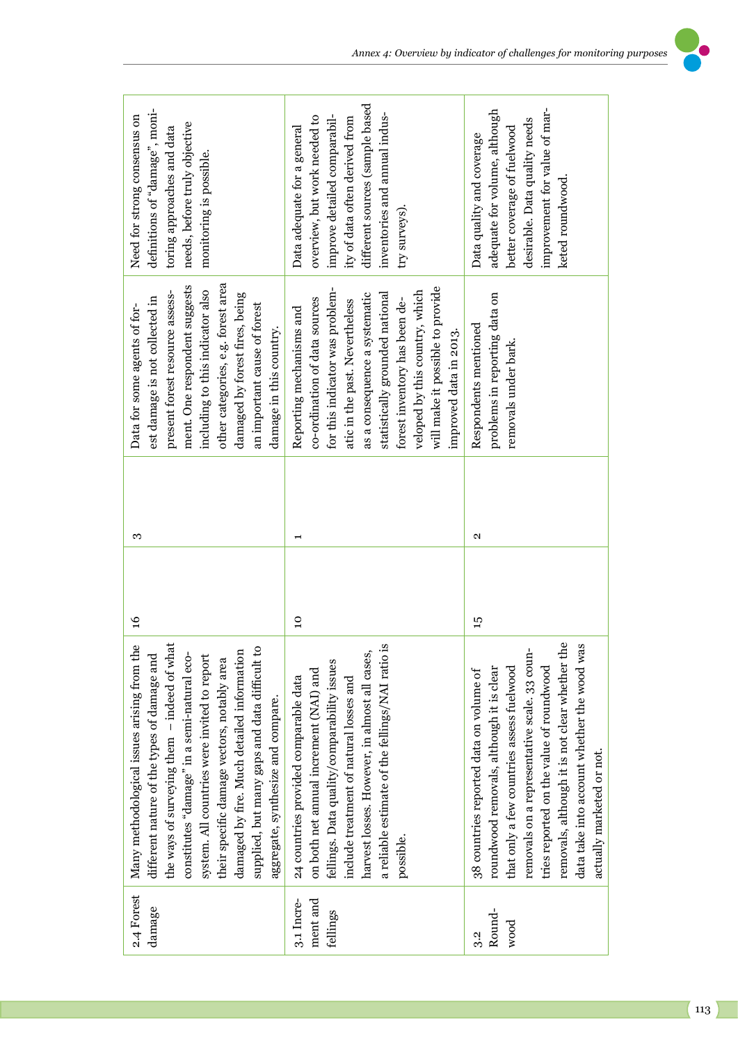| definitions of "damage", moni-<br>Need for strong consensus on<br>needs, before truly objective<br>toring approaches and data<br>monitoring is possible.                                                                                                                                                                                                                                                                     | different sources (sample based<br>inventories and annual indus-<br>improve detailed comparabil-<br>overview, but work needed to<br>ity of data often derived from<br>Data adequate for a general<br>try surveys).                                                                                                                  | improvement for value of mar-<br>adequate for volume, although<br>desirable. Data quality needs<br>better coverage of fuelwood<br>Data quality and coverage<br>keted roundwood.                                                                                                                                                                            |
|------------------------------------------------------------------------------------------------------------------------------------------------------------------------------------------------------------------------------------------------------------------------------------------------------------------------------------------------------------------------------------------------------------------------------|-------------------------------------------------------------------------------------------------------------------------------------------------------------------------------------------------------------------------------------------------------------------------------------------------------------------------------------|------------------------------------------------------------------------------------------------------------------------------------------------------------------------------------------------------------------------------------------------------------------------------------------------------------------------------------------------------------|
| other categories, e.g. forest area<br>ment. One respondent suggests<br>including to this indicator also<br>present forest resource assess-<br>damaged by forest fires, being<br>est damage is not collected in<br>an important cause of forest<br>Data for some agents of for-<br>damage in this country.                                                                                                                    | will make it possible to provide<br>for this indicator was problem-<br>veloped by this country, which<br>as a consequence a systematic<br>statistically grounded national<br>co-ordination of data sources<br>forest inventory has been de-<br>atic in the past. Nevertheless<br>Reporting mechanisms and<br>improved data in 2013. | problems in reporting data on<br>Respondents mentioned<br>removals under bark.                                                                                                                                                                                                                                                                             |
| S                                                                                                                                                                                                                                                                                                                                                                                                                            | ⊣                                                                                                                                                                                                                                                                                                                                   | N                                                                                                                                                                                                                                                                                                                                                          |
| $\frac{6}{2}$                                                                                                                                                                                                                                                                                                                                                                                                                | $\overline{a}$                                                                                                                                                                                                                                                                                                                      | $\frac{1}{2}$                                                                                                                                                                                                                                                                                                                                              |
| the ways of surveying them - indeed of what<br>Many methodological issues arising from the<br>damaged by fire. Much detailed information<br>supplied, but many gaps and data difficult to<br>constitutes "damage" in a semi-natural eco-<br>system. All countries were invited to report<br>different nature of the types of damage and<br>their specific damage vectors, notably area<br>aggregate, synthesize and compare. | a reliable estimate of the fellings/NAI ratio is<br>harvest losses. However, in almost all cases,<br>fellings. Data quality/comparability issues<br>on both net annual increment (NAI) and<br>include treatment of natural losses and<br>24 countries provided comparable data<br>possible.                                         | removals, although it is not clear whether the<br>data take into account whether the wood was<br>removals on a representative scale. 33 coun-<br>tries reported on the value of roundwood<br>that only a few countries assess fuelwood<br>roundwood removals, although it is clear<br>38 countries reported data on volume of<br>actually marketed or not. |
| 2.4 Forest<br>damage                                                                                                                                                                                                                                                                                                                                                                                                         | ment and<br>3.1 Incre-<br>fellings                                                                                                                                                                                                                                                                                                  | Round-<br>wood<br>3.2                                                                                                                                                                                                                                                                                                                                      |

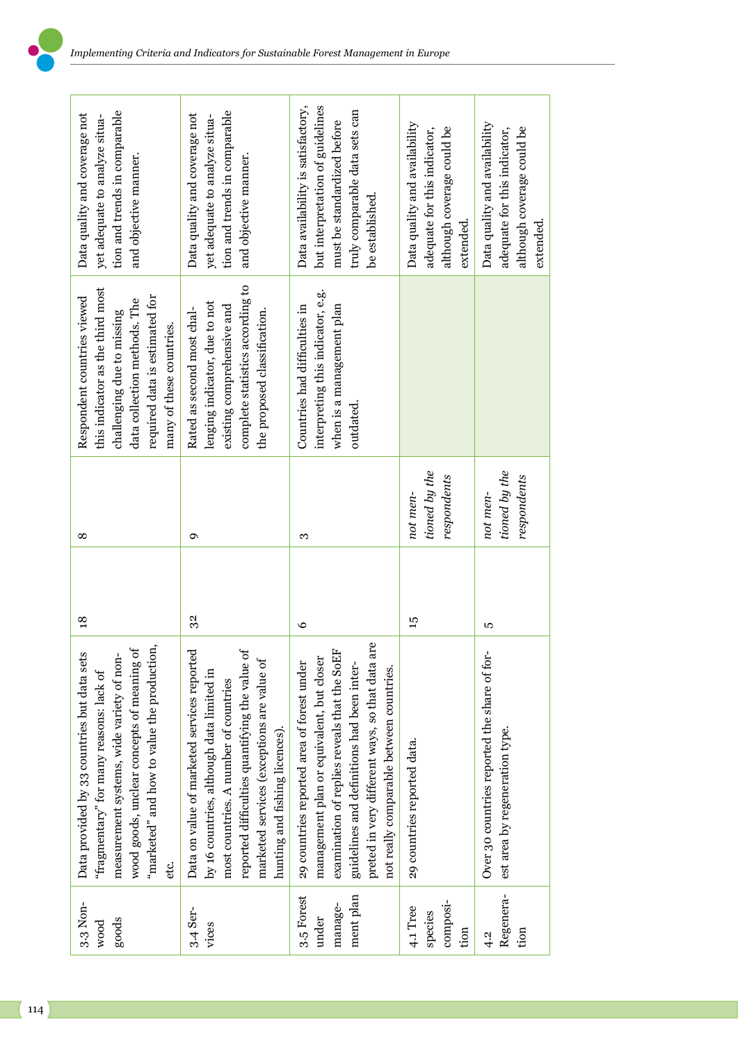| tion and trends in comparable<br>Data quality and coverage not<br>yet adequate to analyze situa-<br>and objective manner.                                                                                                                | tion and trends in comparable<br>Data quality and coverage not<br>yet adequate to analyze situa-<br>and objective manner.                                                                                                                                           | but interpretation of guidelines<br>Data availability is satisfactory,<br>truly comparable data sets can<br>must be standardized before<br>be established.                                                                                                                           | Data quality and availability<br>although coverage could be<br>adequate for this indicator,<br>extended. | Data quality and availability<br>although coverage could be<br>adequate for this indicator,<br>extended. |
|------------------------------------------------------------------------------------------------------------------------------------------------------------------------------------------------------------------------------------------|---------------------------------------------------------------------------------------------------------------------------------------------------------------------------------------------------------------------------------------------------------------------|--------------------------------------------------------------------------------------------------------------------------------------------------------------------------------------------------------------------------------------------------------------------------------------|----------------------------------------------------------------------------------------------------------|----------------------------------------------------------------------------------------------------------|
| this indicator as the third most<br>required data is estimated for<br>Respondent countries viewed<br>data collection methods. The<br>challenging due to missing<br>many of these countries.                                              | complete statistics according to<br>lenging indicator, due to not<br>existing comprehensive and<br>Rated as second most chal-<br>the proposed classification.                                                                                                       | interpreting this indicator, e.g.<br>when is a management plan<br>Countries had difficulties in<br>outdated.                                                                                                                                                                         |                                                                                                          |                                                                                                          |
| ∞                                                                                                                                                                                                                                        | ç                                                                                                                                                                                                                                                                   | 3                                                                                                                                                                                                                                                                                    | tioned by the<br>respondents<br>not men-                                                                 | tioned by the<br>respondents<br>not men-                                                                 |
| $\frac{8}{10}$                                                                                                                                                                                                                           | 32                                                                                                                                                                                                                                                                  | $\circ$                                                                                                                                                                                                                                                                              | 55                                                                                                       | Б                                                                                                        |
| "marketed" and how to value the production,<br>wood goods, unclear concepts of meaning of<br>Data provided by 33 countries but data sets<br>measurement systems, wide variety of non-<br>"fragmentary" for many reasons: lack of<br>etc. | reported difficulties quantifying the value of<br>Data on value of marketed services reported<br>marketed services (exceptions are value of<br>by 16 countries, although data limited in<br>most countries. A number of countries<br>hunting and fishing licences). | preted in very different ways, so that data are<br>examination of replies reveals that the SoEF<br>management plan or equivalent, but closer<br>29 countries reported area of forest under<br>guidelines and definitions had been inter-<br>not really comparable between countries. | 29 countries reported data.                                                                              | Over 30 countries reported the share of for-<br>est area by regeneration type.                           |
| 3.3 Non-<br>goods<br>wood                                                                                                                                                                                                                | 3.4 Ser-<br>vices                                                                                                                                                                                                                                                   | ment plan<br>3.5 Forest<br>manage-<br>under                                                                                                                                                                                                                                          | composi-<br>4.1 Tree<br>species<br>tion                                                                  | Regenera-<br>tion<br>4.2                                                                                 |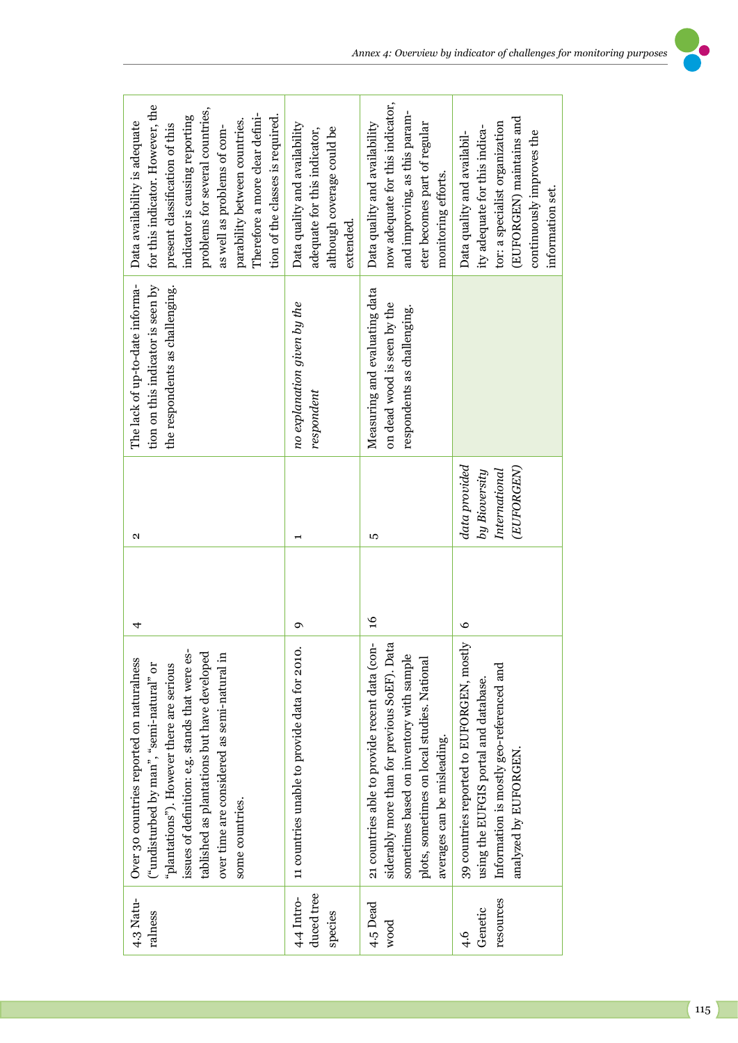| for this indicator. However, the<br>problems for several countries,<br>Therefore a more clear defini-<br>tion of the classes is required.<br>indicator is causing reporting<br>parability between countries.<br>Data availability is adequate<br>present classification of this<br>as well as problems of com- | Data quality and availability<br>although coverage could be<br>adequate for this indicator,<br>extended. | now adequate for this indicator,<br>and improving, as this param-<br>Data quality and availability<br>eter becomes part of regular<br>monitoring efforts.                                                                                 | (EUFORGEN) maintains and<br>tor: a specialist organization<br>ity adequate for this indica-<br>continuously improves the<br>Data quality and availabil-<br>information set. |
|----------------------------------------------------------------------------------------------------------------------------------------------------------------------------------------------------------------------------------------------------------------------------------------------------------------|----------------------------------------------------------------------------------------------------------|-------------------------------------------------------------------------------------------------------------------------------------------------------------------------------------------------------------------------------------------|-----------------------------------------------------------------------------------------------------------------------------------------------------------------------------|
| The lack of up-to-date informa-<br>tion on this indicator is seen by<br>the respondents as challenging.                                                                                                                                                                                                        | no explanation given by the<br>respondent                                                                | Measuring and evaluating data<br>on dead wood is seen by the<br>respondents as challenging.                                                                                                                                               |                                                                                                                                                                             |
| Z                                                                                                                                                                                                                                                                                                              |                                                                                                          | 5                                                                                                                                                                                                                                         | data provided<br>(EUFORGEN)<br>by Bioversity<br>International                                                                                                               |
| 4                                                                                                                                                                                                                                                                                                              | ٩                                                                                                        | $\frac{6}{2}$                                                                                                                                                                                                                             | $\circ$                                                                                                                                                                     |
| issues of definition: e.g. stands that were es-<br>tablished as plantations but have developed<br>over time are considered as semi-natural in<br>Over 30 countries reported on naturalness<br>("undisturbed by man", "semi-natural" or<br>"plantations"). However there are serious<br>some countries.         | 11 countries unable to provide data for 2010                                                             | $\overline{1}$<br>siderably more than for previous SoEF). Data<br>21 countries able to provide recent data (con<br>sometimes based on inventory with sample<br>plots, sometimes on local studies. National<br>averages can be misleading. | 39 countries reported to EUFORGEN, mostly<br>Information is mostly geo-referenced and<br>using the EUFGIS portal and database.<br>analyzed by EUFORGEN.                     |
| $4.3$ Natu-<br>ralness                                                                                                                                                                                                                                                                                         | duced tree<br>4.4 Intro-<br>species                                                                      | 4.5 Dead<br>wood                                                                                                                                                                                                                          | resources<br>Genetic<br>$-4.6$                                                                                                                                              |

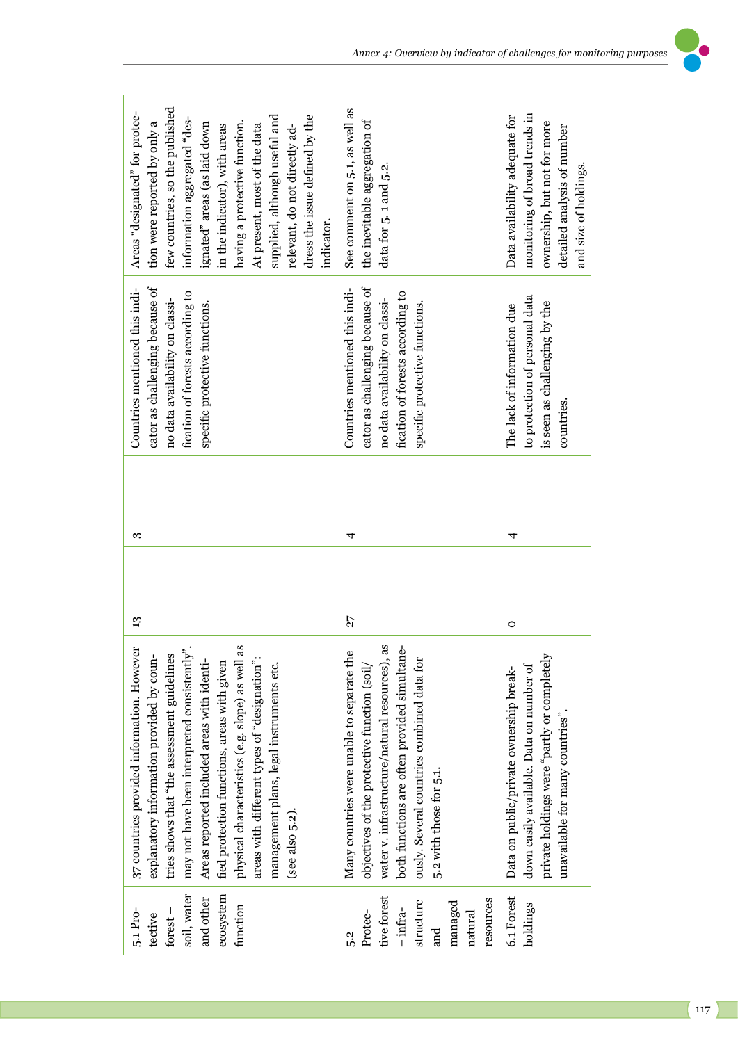| few countries, so the published<br>Areas "designated" for protec-<br>supplied, although useful and<br>dress the issue defined by the<br>information aggregated "des-<br>having a protective function.<br>tion were reported by only a<br>ignated" areas (as laid down<br>At present, most of the data<br>in the indicator), with areas<br>relevant, do not directly ad-<br>indicator.                                                                 | See comment on 5.1, as well as<br>the inevitable aggregation of<br>data for 5.1 and 5.2.                                                                                                                                                                              | monitoring of broad trends in<br>Data availability adequate for<br>ownership, but not for more<br>detailed analysis of number<br>and size of holdings.                 |
|-------------------------------------------------------------------------------------------------------------------------------------------------------------------------------------------------------------------------------------------------------------------------------------------------------------------------------------------------------------------------------------------------------------------------------------------------------|-----------------------------------------------------------------------------------------------------------------------------------------------------------------------------------------------------------------------------------------------------------------------|------------------------------------------------------------------------------------------------------------------------------------------------------------------------|
| Countries mentioned this indi-<br>cator as challenging because of<br>fication of forests according to<br>no data availability on classi-<br>specific protective functions.                                                                                                                                                                                                                                                                            | cator as challenging because of<br>Countries mentioned this indi-<br>fication of forests according to<br>no data availability on classi-<br>specific protective functions.                                                                                            | to protection of personal data<br>is seen as challenging by the<br>The lack of information due<br>countries.                                                           |
| S                                                                                                                                                                                                                                                                                                                                                                                                                                                     | 4                                                                                                                                                                                                                                                                     | 4                                                                                                                                                                      |
| 13                                                                                                                                                                                                                                                                                                                                                                                                                                                    | 27                                                                                                                                                                                                                                                                    | $\circ$                                                                                                                                                                |
| 37 countries provided information. However<br>may not have been interpreted consistently"<br>physical characteristics (e.g. slope) as well as<br>tries shows that "the assessment guidelines<br>explanatory information provided by coun-<br>areas with different types of "designation":<br>Areas reported included areas with identi-<br>fied protection functions, areas with given<br>management plans, legal instruments etc.<br>(see also 5.2). | water v. infrastructure/natural resources), as<br>Many countries were unable to separate the<br>both functions are often provided simultane-<br>ously. Several countries combined data for<br>objectives of the protective function (soil/<br>5.2 with those for 5.1. | private holdings were "partly or completely<br>down easily available. Data on number of<br>Data on public/private ownership break-<br>unavailable for many countries". |
| soil, water<br>ecosystem<br>and other<br>function<br>5.1 Pro-<br>$forest -$<br>tective                                                                                                                                                                                                                                                                                                                                                                | tive forest<br>resources<br>structure<br>managed<br>$-$ infra-<br>Protec-<br>natural<br>and<br>5.2                                                                                                                                                                    | 6.1 Forest<br>holdings                                                                                                                                                 |

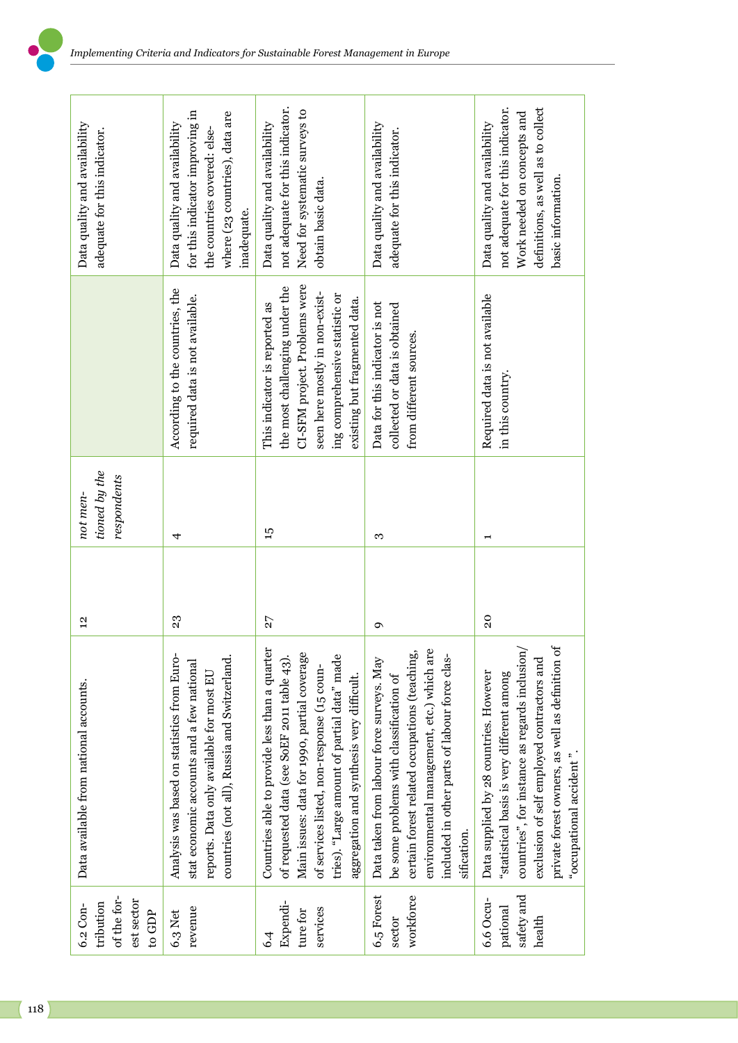| Data quality and availability<br>adequate for this indicator. | for this indicator improving in<br>where (23 countries), data are<br>Data quality and availability<br>the countries covered: else-<br>inadequate.                                    | not adequate for this indicator.<br>Need for systematic surveys to<br>Data quality and availability<br>obtain basic data.                                                                                                                                                              | Data quality and availability<br>adequate for this indicator.                                                                                                                                                                                      | not adequate for this indicator.<br>definitions, as well as to collect<br>Work needed on concepts and<br>Data quality and availability<br>basic information.                                                                                                        |
|---------------------------------------------------------------|--------------------------------------------------------------------------------------------------------------------------------------------------------------------------------------|----------------------------------------------------------------------------------------------------------------------------------------------------------------------------------------------------------------------------------------------------------------------------------------|----------------------------------------------------------------------------------------------------------------------------------------------------------------------------------------------------------------------------------------------------|---------------------------------------------------------------------------------------------------------------------------------------------------------------------------------------------------------------------------------------------------------------------|
|                                                               | According to the countries, the<br>required data is not available.                                                                                                                   | CI-SFM project. Problems were<br>the most challenging under the<br>seen here mostly in non-exist-<br>ing comprehensive statistic or<br>existing but fragmented data.<br>This indicator is reported as                                                                                  | Data for this indicator is not<br>collected or data is obtained<br>from different sources.                                                                                                                                                         | Required data is not available<br>in this country.                                                                                                                                                                                                                  |
| tioned by the<br>respondents<br>not men-                      | 4                                                                                                                                                                                    | 57                                                                                                                                                                                                                                                                                     | S                                                                                                                                                                                                                                                  |                                                                                                                                                                                                                                                                     |
| $\frac{2}{3}$                                                 | 23                                                                                                                                                                                   | 27                                                                                                                                                                                                                                                                                     | ç                                                                                                                                                                                                                                                  | 20                                                                                                                                                                                                                                                                  |
| Data available from national accounts.                        | Analysis was based on statistics from Euro-<br>countries (not all), Russia and Switzerland.<br>stat economic accounts and a few national<br>reports. Data only available for most EU | Countries able to provide less than a quarter<br>of requested data (see SoEF 2011 table 43).<br>Main issues: data for 1990, partial coverage<br>tries). "Large amount of partial data" made<br>of services listed, non-response (15 coun-<br>aggregation and synthesis very difficult. | environmental management, etc.) which are<br>certain forest related occupations (teaching,<br>included in other parts of labour force clas-<br>Data taken from labour force surveys. May<br>be some problems with classification of<br>sification. | private forest owners, as well as definition of<br>countries", for instance as regards inclusion/<br>exclusion of self employed contractors and<br>Data supplied by 28 countries. However<br>"statistical basis is very different among<br>"occupational accident". |
| of the for-<br>est sector<br>tribution<br>6.2 Con-<br>to GDP  | revenue<br>6.3 Net                                                                                                                                                                   | Expendi-<br>services<br>ture for<br>6.4                                                                                                                                                                                                                                                | 6.5 Forest<br>workforce<br>sector                                                                                                                                                                                                                  | safety and<br>6.6 Occu-<br>pational<br>health                                                                                                                                                                                                                       |